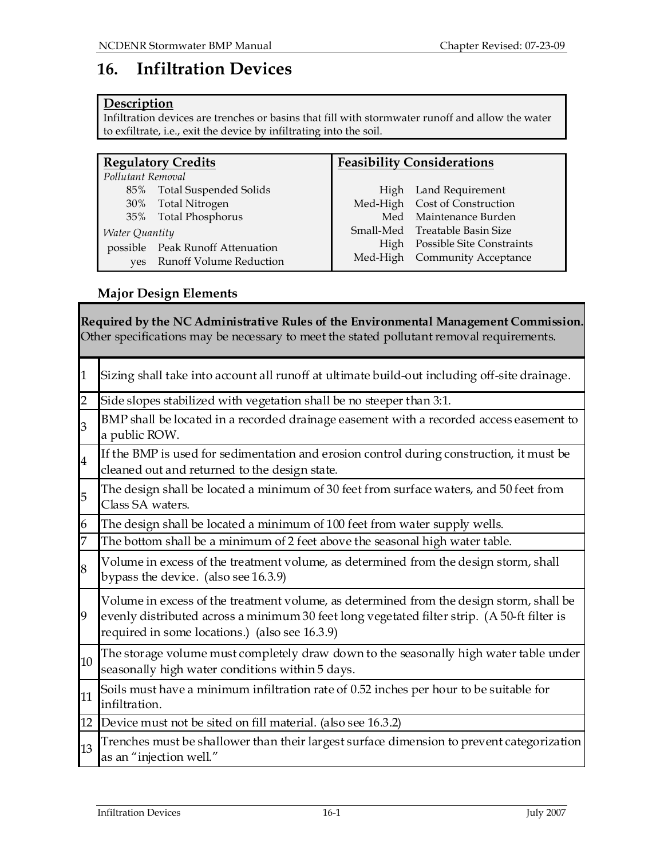# 16. Infiltration Devices

# **Description**

Infiltration devices are trenches or basins that fill with stormwater runoff and allow the water to exfiltrate, i.e., exit the device by infiltrating into the soil.

| <b>Regulatory Credits</b> |                                  | <b>Feasibility Considerations</b> |                                  |
|---------------------------|----------------------------------|-----------------------------------|----------------------------------|
| Pollutant Removal         |                                  |                                   |                                  |
| 85%                       | Total Suspended Solids           |                                   | High Land Requirement            |
| 30%                       | Total Nitrogen                   |                                   | Med-High Cost of Construction    |
|                           | 35% Total Phosphorus             | Med                               | Maintenance Burden               |
| <b>Water Quantity</b>     |                                  |                                   | Small-Med Treatable Basin Size   |
|                           | possible Peak Runoff Attenuation | High                              | <b>Possible Site Constraints</b> |
| ves                       | <b>Runoff Volume Reduction</b>   |                                   | Med-High Community Acceptance    |

# Major Design Elements

| Required by the NC Administrative Rules of the Environmental Management Commission.<br>Other specifications may be necessary to meet the stated pollutant removal requirements. |                                                                                                                                                                                                                                          |  |
|---------------------------------------------------------------------------------------------------------------------------------------------------------------------------------|------------------------------------------------------------------------------------------------------------------------------------------------------------------------------------------------------------------------------------------|--|
| $\mathbf{1}$                                                                                                                                                                    | Sizing shall take into account all runoff at ultimate build-out including off-site drainage.                                                                                                                                             |  |
| $\overline{2}$                                                                                                                                                                  | Side slopes stabilized with vegetation shall be no steeper than 3:1.                                                                                                                                                                     |  |
| $\overline{3}$                                                                                                                                                                  | BMP shall be located in a recorded drainage easement with a recorded access easement to<br>a public ROW.                                                                                                                                 |  |
| $\overline{\mathbf{4}}$                                                                                                                                                         | If the BMP is used for sedimentation and erosion control during construction, it must be<br>cleaned out and returned to the design state.                                                                                                |  |
| 5                                                                                                                                                                               | The design shall be located a minimum of 30 feet from surface waters, and 50 feet from<br>Class SA waters.                                                                                                                               |  |
| 6                                                                                                                                                                               | The design shall be located a minimum of 100 feet from water supply wells.                                                                                                                                                               |  |
| $\overline{7}$                                                                                                                                                                  | The bottom shall be a minimum of 2 feet above the seasonal high water table.                                                                                                                                                             |  |
| 8                                                                                                                                                                               | Volume in excess of the treatment volume, as determined from the design storm, shall<br>bypass the device. (also see 16.3.9)                                                                                                             |  |
| 9                                                                                                                                                                               | Volume in excess of the treatment volume, as determined from the design storm, shall be<br>evenly distributed across a minimum 30 feet long vegetated filter strip. (A 50-ft filter is<br>required in some locations.) (also see 16.3.9) |  |
| 10                                                                                                                                                                              | The storage volume must completely draw down to the seasonally high water table under<br>seasonally high water conditions within 5 days.                                                                                                 |  |
| 11                                                                                                                                                                              | Soils must have a minimum infiltration rate of 0.52 inches per hour to be suitable for<br>infiltration.                                                                                                                                  |  |
| 12                                                                                                                                                                              | Device must not be sited on fill material. (also see 16.3.2)                                                                                                                                                                             |  |
| 13                                                                                                                                                                              | Trenches must be shallower than their largest surface dimension to prevent categorization<br>as an "injection well."                                                                                                                     |  |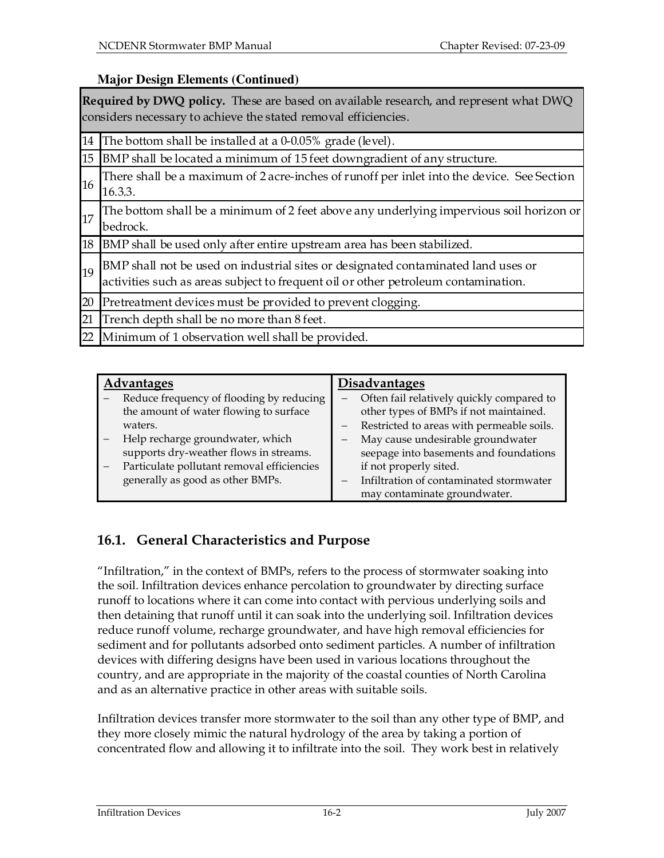# **Major Design Elements (Continued)**

|    | <b>Required by DWQ policy.</b> These are based on available research, and represent what DWQ<br>considers necessary to achieve the stated removal efficiencies.         |
|----|-------------------------------------------------------------------------------------------------------------------------------------------------------------------------|
| 14 | The bottom shall be installed at a 0-0.05% grade (level).                                                                                                               |
|    | 15 BMP shall be located a minimum of 15 feet downgradient of any structure.                                                                                             |
| 16 | There shall be a maximum of 2 acre-inches of runoff per inlet into the device. See Section<br>16.3.3.                                                                   |
| 17 | The bottom shall be a minimum of 2 feet above any underlying impervious soil horizon or<br>bedrock.                                                                     |
|    | 18 BMP shall be used only after entire upstream area has been stabilized.                                                                                               |
| 19 | BMP shall not be used on industrial sites or designated contaminated land uses or<br>activities such as areas subject to frequent oil or other petroleum contamination. |
| 20 | Pretreatment devices must be provided to prevent clogging.                                                                                                              |
| 21 | Trench depth shall be no more than 8 feet.                                                                                                                              |
| 22 | Minimum of 1 observation well shall be provided.                                                                                                                        |

| <b>Advantages</b> |                                            | <b>Disadvantages</b> |                                           |
|-------------------|--------------------------------------------|----------------------|-------------------------------------------|
|                   |                                            |                      |                                           |
|                   | Reduce frequency of flooding by reducing   |                      | Often fail relatively quickly compared to |
|                   | the amount of water flowing to surface     |                      | other types of BMPs if not maintained.    |
|                   | waters.                                    |                      | Restricted to areas with permeable soils. |
|                   | Help recharge groundwater, which           |                      | May cause undesirable groundwater         |
|                   | supports dry-weather flows in streams.     |                      | seepage into basements and foundations    |
|                   | Particulate pollutant removal efficiencies |                      | if not properly sited.                    |
|                   | generally as good as other BMPs.           |                      | Infiltration of contaminated stormwater   |
|                   |                                            |                      | may contaminate groundwater.              |

# 16.1. General Characteristics and Purpose

"Infiltration," in the context of BMPs, refers to the process of stormwater soaking into the soil. Infiltration devices enhance percolation to groundwater by directing surface runoff to locations where it can come into contact with pervious underlying soils and then detaining that runoff until it can soak into the underlying soil. Infiltration devices reduce runoff volume, recharge groundwater, and have high removal efficiencies for sediment and for pollutants adsorbed onto sediment particles. A number of infiltration devices with differing designs have been used in various locations throughout the country, and are appropriate in the majority of the coastal counties of North Carolina and as an alternative practice in other areas with suitable soils.

Infiltration devices transfer more stormwater to the soil than any other type of BMP, and they more closely mimic the natural hydrology of the area by taking a portion of concentrated flow and allowing it to infiltrate into the soil. They work best in relatively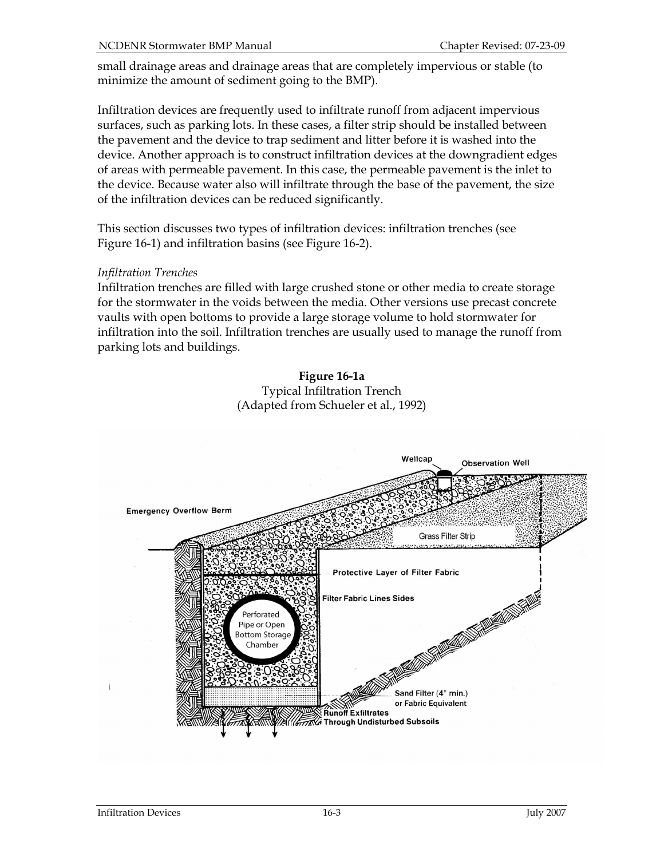small drainage areas and drainage areas that are completely impervious or stable (to minimize the amount of sediment going to the BMP).

Infiltration devices are frequently used to infiltrate runoff from adjacent impervious surfaces, such as parking lots. In these cases, a filter strip should be installed between the pavement and the device to trap sediment and litter before it is washed into the device. Another approach is to construct infiltration devices at the downgradient edges of areas with permeable pavement. In this case, the permeable pavement is the inlet to the device. Because water also will infiltrate through the base of the pavement, the size of the infiltration devices can be reduced significantly.

This section discusses two types of infiltration devices: infiltration trenches (see Figure 16-1) and infiltration basins (see Figure 16-2).

#### Infiltration Trenches

Infiltration trenches are filled with large crushed stone or other media to create storage for the stormwater in the voids between the media. Other versions use precast concrete vaults with open bottoms to provide a large storage volume to hold stormwater for infiltration into the soil. Infiltration trenches are usually used to manage the runoff from parking lots and buildings.

> Figure 16-1a Typical Infiltration Trench (Adapted from Schueler et al., 1992)

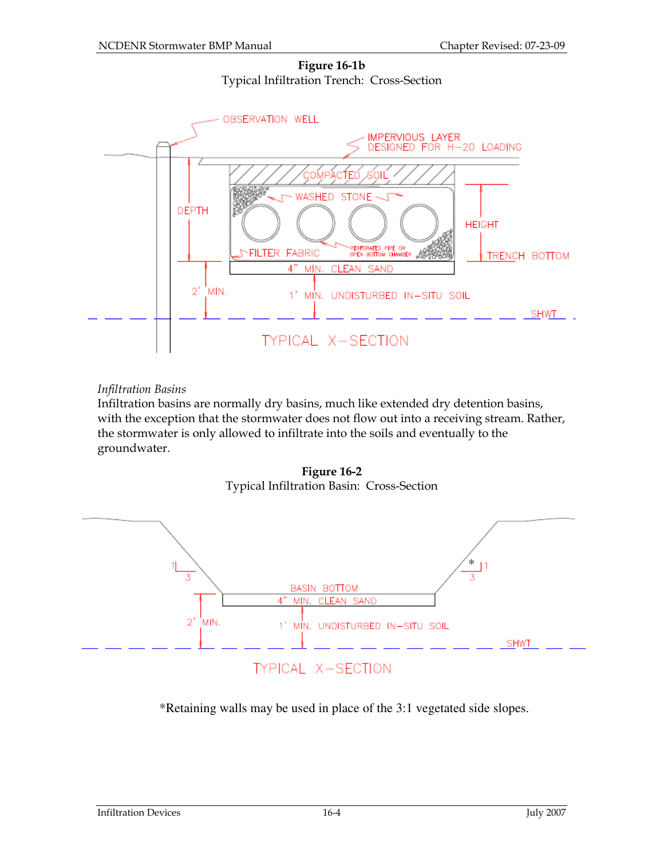Figure 16-1b Typical Infiltration Trench: Cross-Section



#### Infiltration Basins

Infiltration basins are normally dry basins, much like extended dry detention basins, with the exception that the stormwater does not flow out into a receiving stream. Rather, the stormwater is only allowed to infiltrate into the soils and eventually to the groundwater.

Figure 16-2 Typical Infiltration Basin: Cross-Section



\*Retaining walls may be used in place of the 3:1 vegetated side slopes.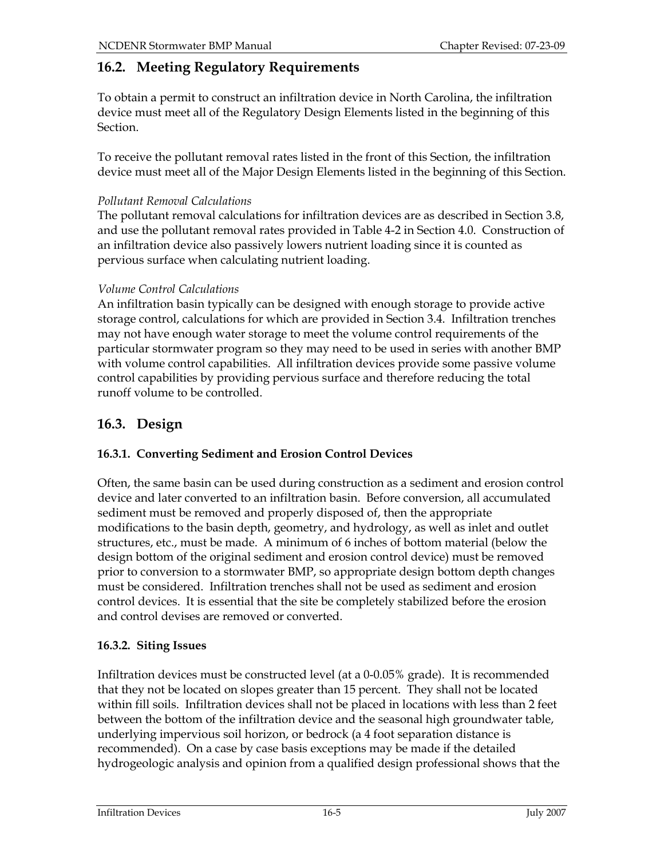# 16.2. Meeting Regulatory Requirements

To obtain a permit to construct an infiltration device in North Carolina, the infiltration device must meet all of the Regulatory Design Elements listed in the beginning of this Section.

To receive the pollutant removal rates listed in the front of this Section, the infiltration device must meet all of the Major Design Elements listed in the beginning of this Section.

# Pollutant Removal Calculations

The pollutant removal calculations for infiltration devices are as described in Section 3.8, and use the pollutant removal rates provided in Table 4-2 in Section 4.0. Construction of an infiltration device also passively lowers nutrient loading since it is counted as pervious surface when calculating nutrient loading.

# Volume Control Calculations

An infiltration basin typically can be designed with enough storage to provide active storage control, calculations for which are provided in Section 3.4. Infiltration trenches may not have enough water storage to meet the volume control requirements of the particular stormwater program so they may need to be used in series with another BMP with volume control capabilities. All infiltration devices provide some passive volume control capabilities by providing pervious surface and therefore reducing the total runoff volume to be controlled.

# 16.3. Design

# 16.3.1. Converting Sediment and Erosion Control Devices

Often, the same basin can be used during construction as a sediment and erosion control device and later converted to an infiltration basin. Before conversion, all accumulated sediment must be removed and properly disposed of, then the appropriate modifications to the basin depth, geometry, and hydrology, as well as inlet and outlet structures, etc., must be made. A minimum of 6 inches of bottom material (below the design bottom of the original sediment and erosion control device) must be removed prior to conversion to a stormwater BMP, so appropriate design bottom depth changes must be considered. Infiltration trenches shall not be used as sediment and erosion control devices. It is essential that the site be completely stabilized before the erosion and control devises are removed or converted.

# 16.3.2. Siting Issues

Infiltration devices must be constructed level (at a 0-0.05% grade). It is recommended that they not be located on slopes greater than 15 percent. They shall not be located within fill soils. Infiltration devices shall not be placed in locations with less than 2 feet between the bottom of the infiltration device and the seasonal high groundwater table, underlying impervious soil horizon, or bedrock (a 4 foot separation distance is recommended). On a case by case basis exceptions may be made if the detailed hydrogeologic analysis and opinion from a qualified design professional shows that the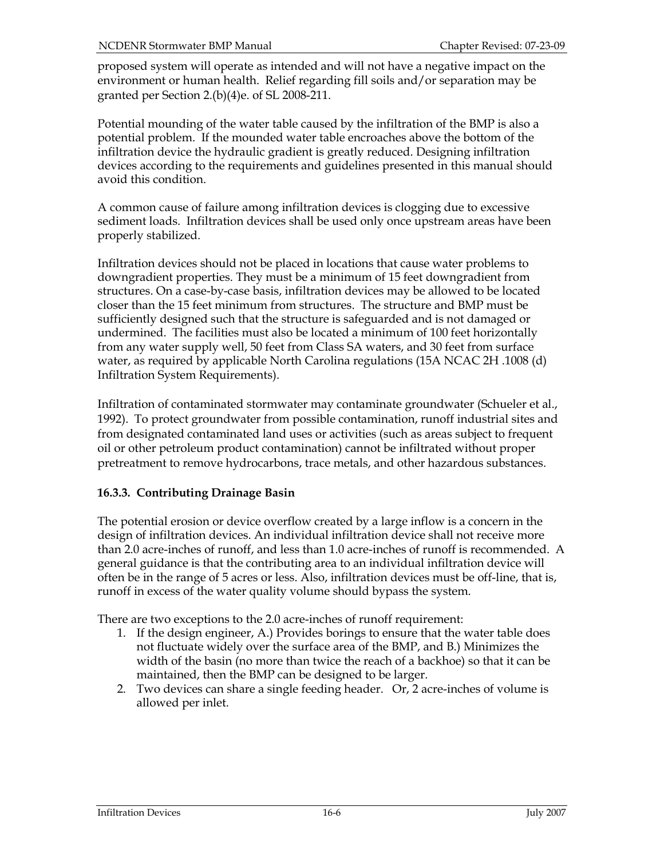proposed system will operate as intended and will not have a negative impact on the environment or human health. Relief regarding fill soils and/or separation may be granted per Section 2.(b)(4)e. of SL 2008-211.

Potential mounding of the water table caused by the infiltration of the BMP is also a potential problem. If the mounded water table encroaches above the bottom of the infiltration device the hydraulic gradient is greatly reduced. Designing infiltration devices according to the requirements and guidelines presented in this manual should avoid this condition.

A common cause of failure among infiltration devices is clogging due to excessive sediment loads. Infiltration devices shall be used only once upstream areas have been properly stabilized.

Infiltration devices should not be placed in locations that cause water problems to downgradient properties. They must be a minimum of 15 feet downgradient from structures. On a case-by-case basis, infiltration devices may be allowed to be located closer than the 15 feet minimum from structures. The structure and BMP must be sufficiently designed such that the structure is safeguarded and is not damaged or undermined. The facilities must also be located a minimum of 100 feet horizontally from any water supply well, 50 feet from Class SA waters, and 30 feet from surface water, as required by applicable North Carolina regulations (15A NCAC 2H .1008 (d) Infiltration System Requirements).

Infiltration of contaminated stormwater may contaminate groundwater (Schueler et al., 1992). To protect groundwater from possible contamination, runoff industrial sites and from designated contaminated land uses or activities (such as areas subject to frequent oil or other petroleum product contamination) cannot be infiltrated without proper pretreatment to remove hydrocarbons, trace metals, and other hazardous substances.

# 16.3.3. Contributing Drainage Basin

The potential erosion or device overflow created by a large inflow is a concern in the design of infiltration devices. An individual infiltration device shall not receive more than 2.0 acre-inches of runoff, and less than 1.0 acre-inches of runoff is recommended. A general guidance is that the contributing area to an individual infiltration device will often be in the range of 5 acres or less. Also, infiltration devices must be off-line, that is, runoff in excess of the water quality volume should bypass the system.

There are two exceptions to the 2.0 acre-inches of runoff requirement:

- 1. If the design engineer, A.) Provides borings to ensure that the water table does not fluctuate widely over the surface area of the BMP, and B.) Minimizes the width of the basin (no more than twice the reach of a backhoe) so that it can be maintained, then the BMP can be designed to be larger.
- 2. Two devices can share a single feeding header. Or, 2 acre-inches of volume is allowed per inlet.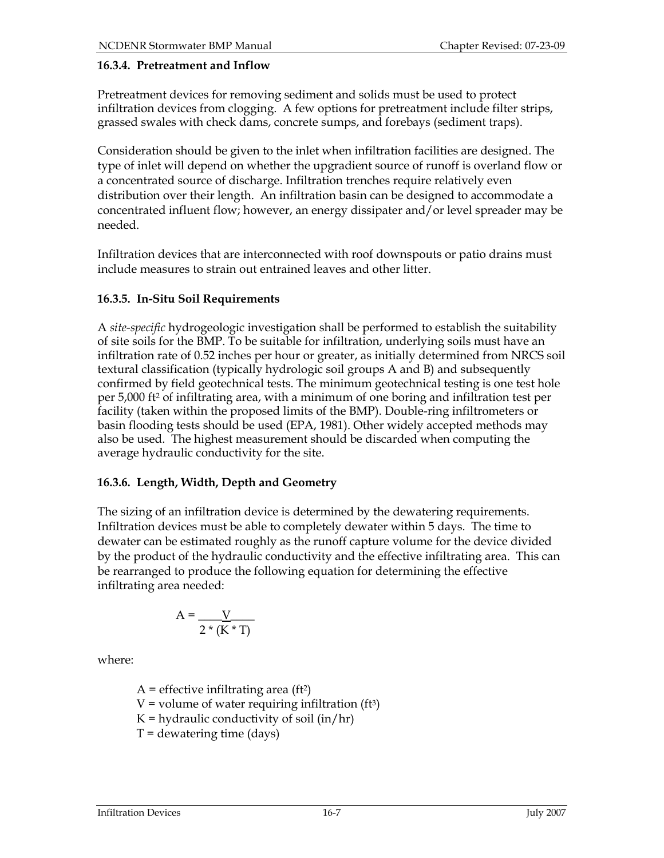#### 16.3.4. Pretreatment and Inflow

Pretreatment devices for removing sediment and solids must be used to protect infiltration devices from clogging. A few options for pretreatment include filter strips, grassed swales with check dams, concrete sumps, and forebays (sediment traps).

Consideration should be given to the inlet when infiltration facilities are designed. The type of inlet will depend on whether the upgradient source of runoff is overland flow or a concentrated source of discharge. Infiltration trenches require relatively even distribution over their length. An infiltration basin can be designed to accommodate a concentrated influent flow; however, an energy dissipater and/or level spreader may be needed.

Infiltration devices that are interconnected with roof downspouts or patio drains must include measures to strain out entrained leaves and other litter.

#### 16.3.5. In-Situ Soil Requirements

A site-specific hydrogeologic investigation shall be performed to establish the suitability of site soils for the BMP. To be suitable for infiltration, underlying soils must have an infiltration rate of 0.52 inches per hour or greater, as initially determined from NRCS soil textural classification (typically hydrologic soil groups A and B) and subsequently confirmed by field geotechnical tests. The minimum geotechnical testing is one test hole per 5,000 ft2 of infiltrating area, with a minimum of one boring and infiltration test per facility (taken within the proposed limits of the BMP). Double-ring infiltrometers or basin flooding tests should be used (EPA, 1981). Other widely accepted methods may also be used. The highest measurement should be discarded when computing the average hydraulic conductivity for the site.

#### 16.3.6. Length, Width, Depth and Geometry

The sizing of an infiltration device is determined by the dewatering requirements. Infiltration devices must be able to completely dewater within 5 days. The time to dewater can be estimated roughly as the runoff capture volume for the device divided by the product of the hydraulic conductivity and the effective infiltrating area. This can be rearranged to produce the following equation for determining the effective infiltrating area needed:

$$
A = \frac{V}{2 * (K * T)}
$$

where:

 $A =$  effective infiltrating area (ft<sup>2</sup>)  $V =$  volume of water requiring infiltration (ft<sup>3</sup>)  $K =$  hydraulic conductivity of soil (in/hr)  $T =$  dewatering time (days)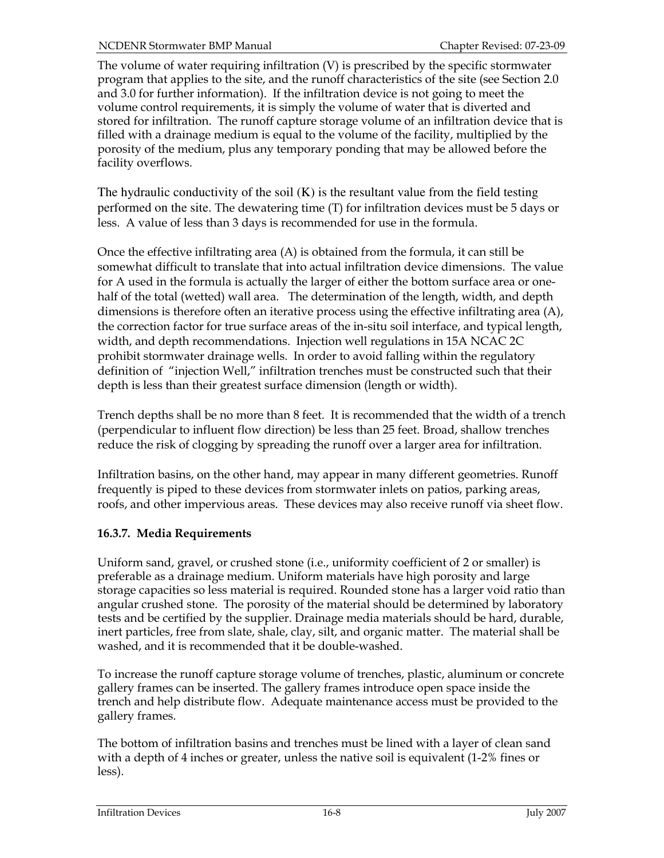The volume of water requiring infiltration (V) is prescribed by the specific stormwater program that applies to the site, and the runoff characteristics of the site (see Section 2.0 and 3.0 for further information). If the infiltration device is not going to meet the volume control requirements, it is simply the volume of water that is diverted and stored for infiltration. The runoff capture storage volume of an infiltration device that is filled with a drainage medium is equal to the volume of the facility, multiplied by the porosity of the medium, plus any temporary ponding that may be allowed before the facility overflows.

The hydraulic conductivity of the soil  $(K)$  is the resultant value from the field testing performed on the site. The dewatering time (T) for infiltration devices must be 5 days or less. A value of less than 3 days is recommended for use in the formula.

Once the effective infiltrating area (A) is obtained from the formula, it can still be somewhat difficult to translate that into actual infiltration device dimensions. The value for A used in the formula is actually the larger of either the bottom surface area or onehalf of the total (wetted) wall area. The determination of the length, width, and depth dimensions is therefore often an iterative process using the effective infiltrating area (A), the correction factor for true surface areas of the in-situ soil interface, and typical length, width, and depth recommendations. Injection well regulations in 15A NCAC 2C prohibit stormwater drainage wells. In order to avoid falling within the regulatory definition of "injection Well," infiltration trenches must be constructed such that their depth is less than their greatest surface dimension (length or width).

Trench depths shall be no more than 8 feet. It is recommended that the width of a trench (perpendicular to influent flow direction) be less than 25 feet. Broad, shallow trenches reduce the risk of clogging by spreading the runoff over a larger area for infiltration.

Infiltration basins, on the other hand, may appear in many different geometries. Runoff frequently is piped to these devices from stormwater inlets on patios, parking areas, roofs, and other impervious areas. These devices may also receive runoff via sheet flow.

# 16.3.7. Media Requirements

Uniform sand, gravel, or crushed stone (i.e., uniformity coefficient of 2 or smaller) is preferable as a drainage medium. Uniform materials have high porosity and large storage capacities so less material is required. Rounded stone has a larger void ratio than angular crushed stone. The porosity of the material should be determined by laboratory tests and be certified by the supplier. Drainage media materials should be hard, durable, inert particles, free from slate, shale, clay, silt, and organic matter. The material shall be washed, and it is recommended that it be double-washed.

To increase the runoff capture storage volume of trenches, plastic, aluminum or concrete gallery frames can be inserted. The gallery frames introduce open space inside the trench and help distribute flow. Adequate maintenance access must be provided to the gallery frames.

The bottom of infiltration basins and trenches must be lined with a layer of clean sand with a depth of 4 inches or greater, unless the native soil is equivalent (1-2% fines or less).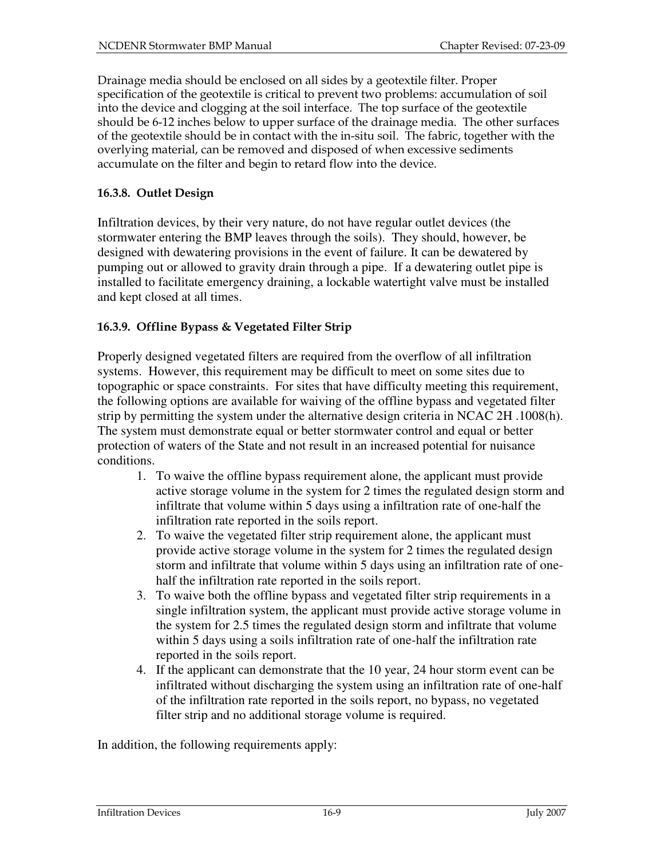Drainage media should be enclosed on all sides by a geotextile filter. Proper specification of the geotextile is critical to prevent two problems: accumulation of soil into the device and clogging at the soil interface. The top surface of the geotextile should be 6-12 inches below to upper surface of the drainage media. The other surfaces of the geotextile should be in contact with the in-situ soil. The fabric, together with the overlying material, can be removed and disposed of when excessive sediments accumulate on the filter and begin to retard flow into the device.

# 16.3.8. Outlet Design

Infiltration devices, by their very nature, do not have regular outlet devices (the stormwater entering the BMP leaves through the soils). They should, however, be designed with dewatering provisions in the event of failure. It can be dewatered by pumping out or allowed to gravity drain through a pipe. If a dewatering outlet pipe is installed to facilitate emergency draining, a lockable watertight valve must be installed and kept closed at all times.

# 16.3.9. Offline Bypass & Vegetated Filter Strip

Properly designed vegetated filters are required from the overflow of all infiltration systems. However, this requirement may be difficult to meet on some sites due to topographic or space constraints. For sites that have difficulty meeting this requirement, the following options are available for waiving of the offline bypass and vegetated filter strip by permitting the system under the alternative design criteria in NCAC 2H .1008(h). The system must demonstrate equal or better stormwater control and equal or better protection of waters of the State and not result in an increased potential for nuisance conditions.

- 1. To waive the offline bypass requirement alone, the applicant must provide active storage volume in the system for 2 times the regulated design storm and infiltrate that volume within 5 days using a infiltration rate of one-half the infiltration rate reported in the soils report.
- 2. To waive the vegetated filter strip requirement alone, the applicant must provide active storage volume in the system for 2 times the regulated design storm and infiltrate that volume within 5 days using an infiltration rate of onehalf the infiltration rate reported in the soils report.
- 3. To waive both the offline bypass and vegetated filter strip requirements in a single infiltration system, the applicant must provide active storage volume in the system for 2.5 times the regulated design storm and infiltrate that volume within 5 days using a soils infiltration rate of one-half the infiltration rate reported in the soils report.
- 4. If the applicant can demonstrate that the 10 year, 24 hour storm event can be infiltrated without discharging the system using an infiltration rate of one-half of the infiltration rate reported in the soils report, no bypass, no vegetated filter strip and no additional storage volume is required.

In addition, the following requirements apply: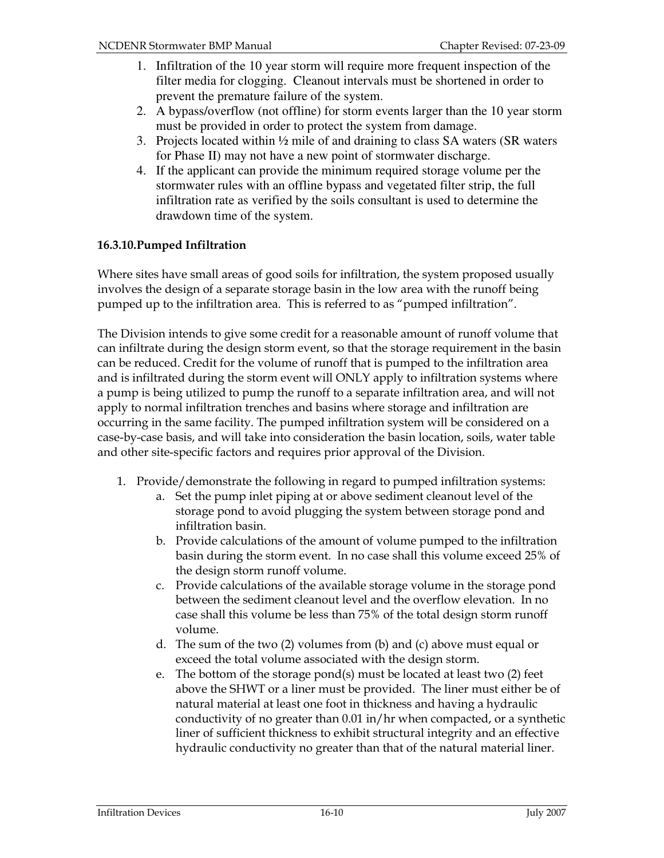- 1. Infiltration of the 10 year storm will require more frequent inspection of the filter media for clogging. Cleanout intervals must be shortened in order to prevent the premature failure of the system.
- 2. A bypass/overflow (not offline) for storm events larger than the 10 year storm must be provided in order to protect the system from damage.
- 3. Projects located within ½ mile of and draining to class SA waters (SR waters for Phase II) may not have a new point of stormwater discharge.
- 4. If the applicant can provide the minimum required storage volume per the stormwater rules with an offline bypass and vegetated filter strip, the full infiltration rate as verified by the soils consultant is used to determine the drawdown time of the system.

# 16.3.10.Pumped Infiltration

Where sites have small areas of good soils for infiltration, the system proposed usually involves the design of a separate storage basin in the low area with the runoff being pumped up to the infiltration area. This is referred to as "pumped infiltration".

The Division intends to give some credit for a reasonable amount of runoff volume that can infiltrate during the design storm event, so that the storage requirement in the basin can be reduced. Credit for the volume of runoff that is pumped to the infiltration area and is infiltrated during the storm event will ONLY apply to infiltration systems where a pump is being utilized to pump the runoff to a separate infiltration area, and will not apply to normal infiltration trenches and basins where storage and infiltration are occurring in the same facility. The pumped infiltration system will be considered on a case-by-case basis, and will take into consideration the basin location, soils, water table and other site-specific factors and requires prior approval of the Division.

- 1. Provide/demonstrate the following in regard to pumped infiltration systems:
	- a. Set the pump inlet piping at or above sediment cleanout level of the storage pond to avoid plugging the system between storage pond and infiltration basin.
	- b. Provide calculations of the amount of volume pumped to the infiltration basin during the storm event. In no case shall this volume exceed 25% of the design storm runoff volume.
	- c. Provide calculations of the available storage volume in the storage pond between the sediment cleanout level and the overflow elevation. In no case shall this volume be less than 75% of the total design storm runoff volume.
	- d. The sum of the two (2) volumes from (b) and (c) above must equal or exceed the total volume associated with the design storm.
	- e. The bottom of the storage pond(s) must be located at least two (2) feet above the SHWT or a liner must be provided. The liner must either be of natural material at least one foot in thickness and having a hydraulic conductivity of no greater than 0.01 in/hr when compacted, or a synthetic liner of sufficient thickness to exhibit structural integrity and an effective hydraulic conductivity no greater than that of the natural material liner.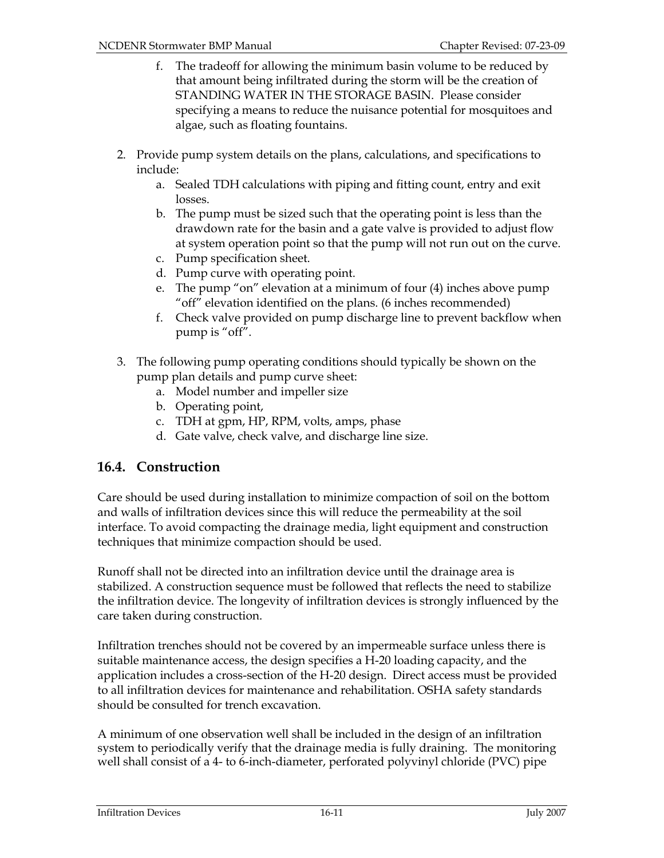- f. The tradeoff for allowing the minimum basin volume to be reduced by that amount being infiltrated during the storm will be the creation of STANDING WATER IN THE STORAGE BASIN. Please consider specifying a means to reduce the nuisance potential for mosquitoes and algae, such as floating fountains.
- 2. Provide pump system details on the plans, calculations, and specifications to include:
	- a. Sealed TDH calculations with piping and fitting count, entry and exit losses.
	- b. The pump must be sized such that the operating point is less than the drawdown rate for the basin and a gate valve is provided to adjust flow at system operation point so that the pump will not run out on the curve.
	- c. Pump specification sheet.
	- d. Pump curve with operating point.
	- e. The pump "on" elevation at a minimum of four (4) inches above pump "off" elevation identified on the plans. (6 inches recommended)
	- f. Check valve provided on pump discharge line to prevent backflow when pump is "off".
- 3. The following pump operating conditions should typically be shown on the pump plan details and pump curve sheet:
	- a. Model number and impeller size
	- b. Operating point,
	- c. TDH at gpm, HP, RPM, volts, amps, phase
	- d. Gate valve, check valve, and discharge line size.

# 16.4. Construction

Care should be used during installation to minimize compaction of soil on the bottom and walls of infiltration devices since this will reduce the permeability at the soil interface. To avoid compacting the drainage media, light equipment and construction techniques that minimize compaction should be used.

Runoff shall not be directed into an infiltration device until the drainage area is stabilized. A construction sequence must be followed that reflects the need to stabilize the infiltration device. The longevity of infiltration devices is strongly influenced by the care taken during construction.

Infiltration trenches should not be covered by an impermeable surface unless there is suitable maintenance access, the design specifies a H-20 loading capacity, and the application includes a cross-section of the H-20 design. Direct access must be provided to all infiltration devices for maintenance and rehabilitation. OSHA safety standards should be consulted for trench excavation.

A minimum of one observation well shall be included in the design of an infiltration system to periodically verify that the drainage media is fully draining. The monitoring well shall consist of a 4- to 6-inch-diameter, perforated polyvinyl chloride (PVC) pipe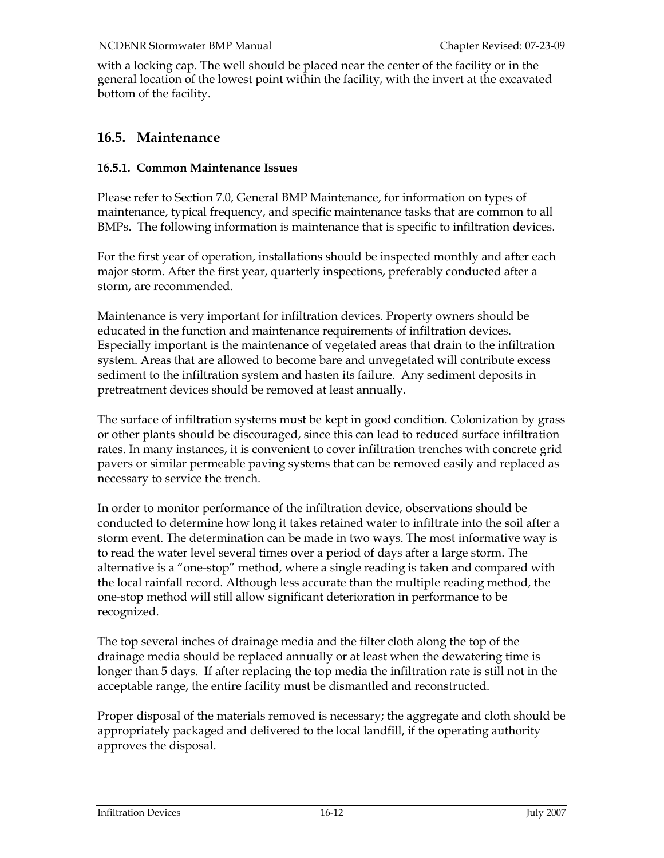with a locking cap. The well should be placed near the center of the facility or in the general location of the lowest point within the facility, with the invert at the excavated bottom of the facility.

# 16.5. Maintenance

#### 16.5.1. Common Maintenance Issues

Please refer to Section 7.0, General BMP Maintenance, for information on types of maintenance, typical frequency, and specific maintenance tasks that are common to all BMPs. The following information is maintenance that is specific to infiltration devices.

For the first year of operation, installations should be inspected monthly and after each major storm. After the first year, quarterly inspections, preferably conducted after a storm, are recommended.

Maintenance is very important for infiltration devices. Property owners should be educated in the function and maintenance requirements of infiltration devices. Especially important is the maintenance of vegetated areas that drain to the infiltration system. Areas that are allowed to become bare and unvegetated will contribute excess sediment to the infiltration system and hasten its failure. Any sediment deposits in pretreatment devices should be removed at least annually.

The surface of infiltration systems must be kept in good condition. Colonization by grass or other plants should be discouraged, since this can lead to reduced surface infiltration rates. In many instances, it is convenient to cover infiltration trenches with concrete grid pavers or similar permeable paving systems that can be removed easily and replaced as necessary to service the trench.

In order to monitor performance of the infiltration device, observations should be conducted to determine how long it takes retained water to infiltrate into the soil after a storm event. The determination can be made in two ways. The most informative way is to read the water level several times over a period of days after a large storm. The alternative is a "one-stop" method, where a single reading is taken and compared with the local rainfall record. Although less accurate than the multiple reading method, the one-stop method will still allow significant deterioration in performance to be recognized.

The top several inches of drainage media and the filter cloth along the top of the drainage media should be replaced annually or at least when the dewatering time is longer than 5 days. If after replacing the top media the infiltration rate is still not in the acceptable range, the entire facility must be dismantled and reconstructed.

Proper disposal of the materials removed is necessary; the aggregate and cloth should be appropriately packaged and delivered to the local landfill, if the operating authority approves the disposal.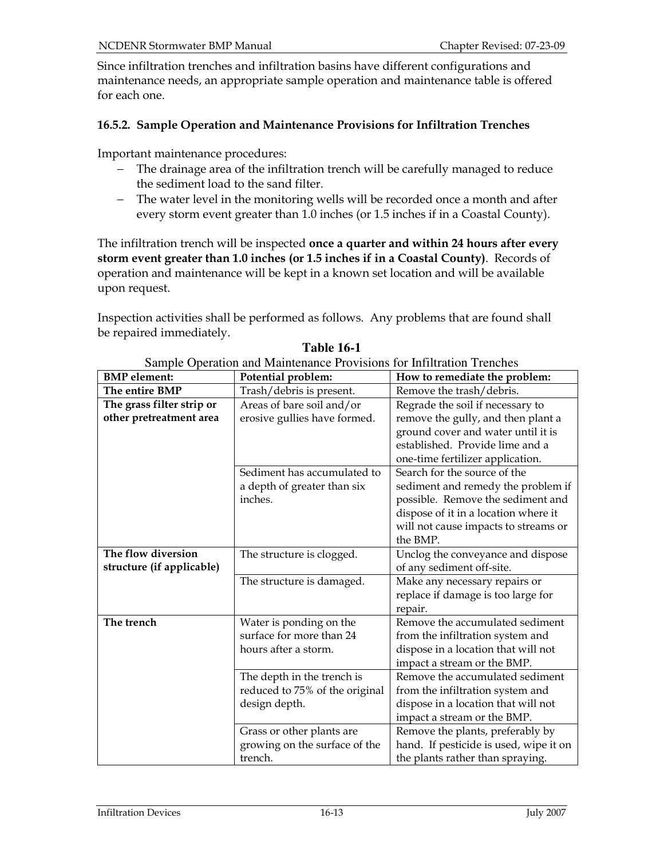Since infiltration trenches and infiltration basins have different configurations and maintenance needs, an appropriate sample operation and maintenance table is offered for each one.

#### 16.5.2. Sample Operation and Maintenance Provisions for Infiltration Trenches

Important maintenance procedures:

- − The drainage area of the infiltration trench will be carefully managed to reduce the sediment load to the sand filter.
- − The water level in the monitoring wells will be recorded once a month and after every storm event greater than 1.0 inches (or 1.5 inches if in a Coastal County).

The infiltration trench will be inspected once a quarter and within 24 hours after every storm event greater than 1.0 inches (or 1.5 inches if in a Coastal County). Records of operation and maintenance will be kept in a known set location and will be available upon request.

Inspection activities shall be performed as follows. Any problems that are found shall be repaired immediately.

| <b>BMP</b> element:       | Sample Operation and manuemance I fovisions for immediation Trenencs<br>Potential problem: | How to remediate the problem:          |
|---------------------------|--------------------------------------------------------------------------------------------|----------------------------------------|
| The entire BMP            |                                                                                            |                                        |
|                           | Trash/debris is present.                                                                   | Remove the trash/debris.               |
| The grass filter strip or | Areas of bare soil and/or                                                                  | Regrade the soil if necessary to       |
| other pretreatment area   | erosive gullies have formed.                                                               | remove the gully, and then plant a     |
|                           |                                                                                            | ground cover and water until it is     |
|                           |                                                                                            | established. Provide lime and a        |
|                           |                                                                                            | one-time fertilizer application.       |
|                           | Sediment has accumulated to                                                                | Search for the source of the           |
|                           | a depth of greater than six                                                                | sediment and remedy the problem if     |
|                           | inches.                                                                                    | possible. Remove the sediment and      |
|                           |                                                                                            | dispose of it in a location where it   |
|                           |                                                                                            | will not cause impacts to streams or   |
|                           |                                                                                            | the BMP.                               |
| The flow diversion        | The structure is clogged.                                                                  | Unclog the conveyance and dispose      |
| structure (if applicable) |                                                                                            | of any sediment off-site.              |
|                           | The structure is damaged.                                                                  | Make any necessary repairs or          |
|                           |                                                                                            | replace if damage is too large for     |
|                           |                                                                                            | repair.                                |
| The trench                | Water is ponding on the                                                                    | Remove the accumulated sediment        |
|                           | surface for more than 24                                                                   | from the infiltration system and       |
|                           | hours after a storm.                                                                       | dispose in a location that will not    |
|                           |                                                                                            | impact a stream or the BMP.            |
|                           | The depth in the trench is                                                                 | Remove the accumulated sediment        |
|                           | reduced to 75% of the original                                                             | from the infiltration system and       |
|                           | design depth.                                                                              | dispose in a location that will not    |
|                           |                                                                                            | impact a stream or the BMP.            |
|                           | Grass or other plants are                                                                  | Remove the plants, preferably by       |
|                           | growing on the surface of the                                                              | hand. If pesticide is used, wipe it on |
|                           | trench.                                                                                    | the plants rather than spraying.       |

**Table 16-1** 

Sample Operation and Maintenance Provisions for Infiltration Trenches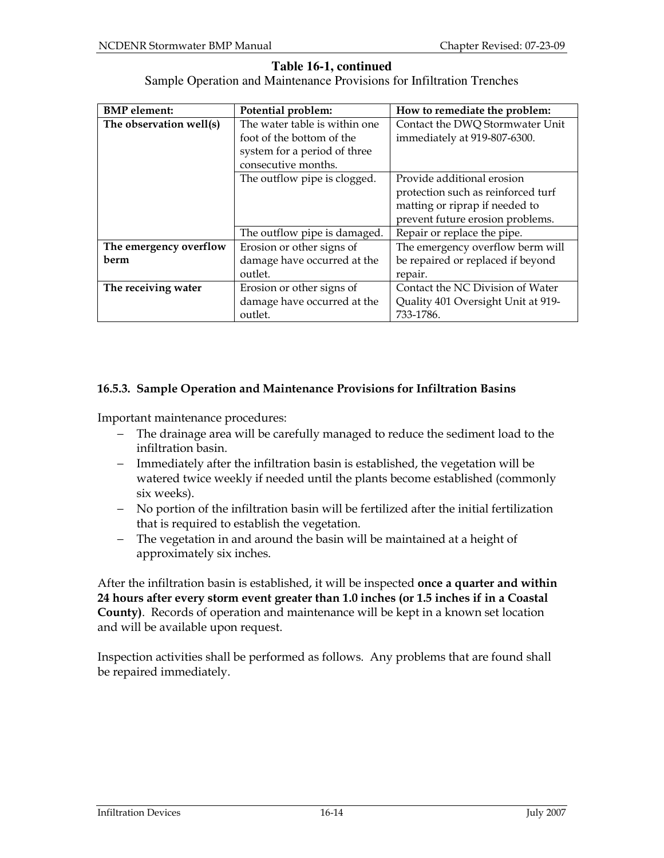#### **Table 16-1, continued**

Sample Operation and Maintenance Provisions for Infiltration Trenches

| <b>BMP</b> element:     | Potential problem:            | How to remediate the problem:      |
|-------------------------|-------------------------------|------------------------------------|
| The observation well(s) | The water table is within one | Contact the DWQ Stormwater Unit    |
|                         | foot of the bottom of the     | immediately at 919-807-6300.       |
|                         | system for a period of three  |                                    |
|                         | consecutive months.           |                                    |
|                         | The outflow pipe is clogged.  | Provide additional erosion         |
|                         |                               | protection such as reinforced turf |
|                         |                               | matting or riprap if needed to     |
|                         |                               | prevent future erosion problems.   |
|                         | The outflow pipe is damaged.  | Repair or replace the pipe.        |
| The emergency overflow  | Erosion or other signs of     | The emergency overflow berm will   |
| berm                    | damage have occurred at the   | be repaired or replaced if beyond  |
|                         | outlet.                       | repair.                            |
| The receiving water     | Erosion or other signs of     | Contact the NC Division of Water   |
|                         | damage have occurred at the   | Quality 401 Oversight Unit at 919- |
|                         | outlet.                       | 733-1786.                          |

#### 16.5.3. Sample Operation and Maintenance Provisions for Infiltration Basins

Important maintenance procedures:

- − The drainage area will be carefully managed to reduce the sediment load to the infiltration basin.
- − Immediately after the infiltration basin is established, the vegetation will be watered twice weekly if needed until the plants become established (commonly six weeks).
- − No portion of the infiltration basin will be fertilized after the initial fertilization that is required to establish the vegetation.
- − The vegetation in and around the basin will be maintained at a height of approximately six inches.

After the infiltration basin is established, it will be inspected once a quarter and within 24 hours after every storm event greater than 1.0 inches (or 1.5 inches if in a Coastal County). Records of operation and maintenance will be kept in a known set location and will be available upon request.

Inspection activities shall be performed as follows. Any problems that are found shall be repaired immediately.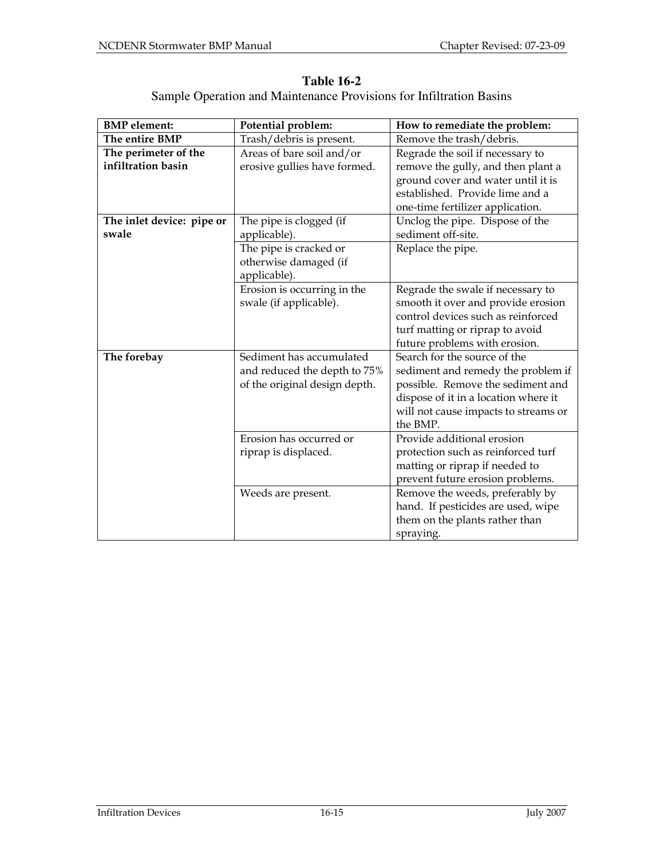| <b>BMP</b> element:       | Potential problem:            | How to remediate the problem:        |
|---------------------------|-------------------------------|--------------------------------------|
| The entire BMP            | Trash/debris is present.      | Remove the trash/debris.             |
| The perimeter of the      | Areas of bare soil and/or     | Regrade the soil if necessary to     |
| infiltration basin        | erosive gullies have formed.  | remove the gully, and then plant a   |
|                           |                               | ground cover and water until it is   |
|                           |                               | established. Provide lime and a      |
|                           |                               | one-time fertilizer application.     |
| The inlet device: pipe or | The pipe is clogged (if       | Unclog the pipe. Dispose of the      |
| swale                     | applicable).                  | sediment off-site.                   |
|                           | The pipe is cracked or        | Replace the pipe.                    |
|                           | otherwise damaged (if         |                                      |
|                           | applicable).                  |                                      |
|                           | Erosion is occurring in the   | Regrade the swale if necessary to    |
|                           | swale (if applicable).        | smooth it over and provide erosion   |
|                           |                               | control devices such as reinforced   |
|                           |                               | turf matting or riprap to avoid      |
|                           |                               | future problems with erosion.        |
| The forebay               | Sediment has accumulated      | Search for the source of the         |
|                           | and reduced the depth to 75%  | sediment and remedy the problem if   |
|                           | of the original design depth. | possible. Remove the sediment and    |
|                           |                               | dispose of it in a location where it |
|                           |                               | will not cause impacts to streams or |
|                           |                               | the BMP.                             |
|                           | Erosion has occurred or       | Provide additional erosion           |
|                           | riprap is displaced.          | protection such as reinforced turf   |
|                           |                               | matting or riprap if needed to       |
|                           |                               | prevent future erosion problems.     |
|                           | Weeds are present.            | Remove the weeds, preferably by      |
|                           |                               | hand. If pesticides are used, wipe   |
|                           |                               | them on the plants rather than       |
|                           |                               | spraying.                            |

**Table 16-2**  Sample Operation and Maintenance Provisions for Infiltration Basins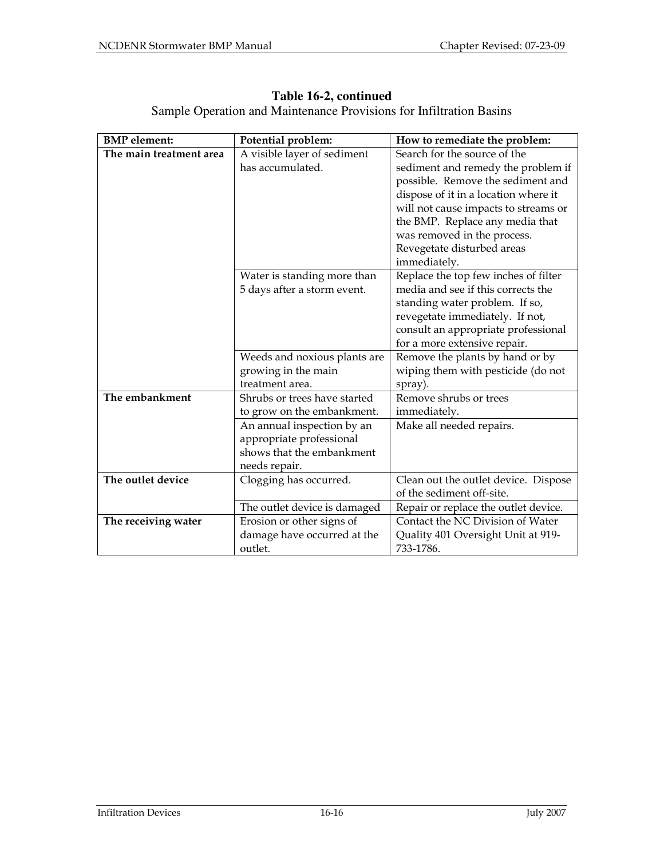| <b>BMP</b> element:     | Potential problem:           | How to remediate the problem:        |
|-------------------------|------------------------------|--------------------------------------|
| The main treatment area | A visible layer of sediment  | Search for the source of the         |
|                         | has accumulated.             | sediment and remedy the problem if   |
|                         |                              | possible. Remove the sediment and    |
|                         |                              | dispose of it in a location where it |
|                         |                              | will not cause impacts to streams or |
|                         |                              | the BMP. Replace any media that      |
|                         |                              | was removed in the process.          |
|                         |                              | Revegetate disturbed areas           |
|                         |                              | immediately.                         |
|                         | Water is standing more than  | Replace the top few inches of filter |
|                         | 5 days after a storm event.  | media and see if this corrects the   |
|                         |                              | standing water problem. If so,       |
|                         |                              | revegetate immediately. If not,      |
|                         |                              | consult an appropriate professional  |
|                         |                              | for a more extensive repair.         |
|                         | Weeds and noxious plants are | Remove the plants by hand or by      |
|                         | growing in the main          | wiping them with pesticide (do not   |
|                         | treatment area.              | spray).                              |
| The embankment          | Shrubs or trees have started | Remove shrubs or trees               |
|                         | to grow on the embankment.   | immediately.                         |
|                         | An annual inspection by an   | Make all needed repairs.             |
|                         | appropriate professional     |                                      |
|                         | shows that the embankment    |                                      |
|                         | needs repair.                |                                      |
| The outlet device       | Clogging has occurred.       | Clean out the outlet device. Dispose |
|                         |                              | of the sediment off-site.            |
|                         | The outlet device is damaged | Repair or replace the outlet device. |
| The receiving water     | Erosion or other signs of    | Contact the NC Division of Water     |
|                         | damage have occurred at the  | Quality 401 Oversight Unit at 919-   |
|                         | outlet.                      | 733-1786.                            |

# **Table 16-2, continued**

Sample Operation and Maintenance Provisions for Infiltration Basins